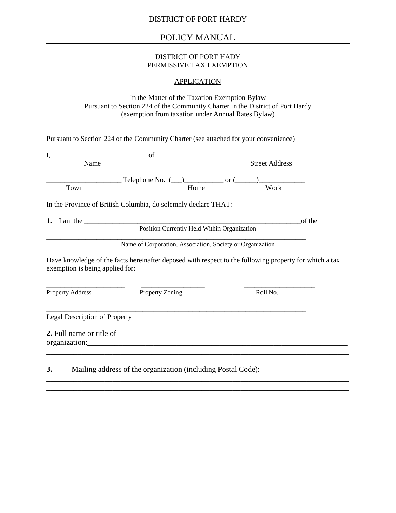## POLICY MANUAL

#### DISTRICT OF PORT HADY PERMISSIVE TAX EXEMPTION

#### APPLICATION

In the Matter of the Taxation Exemption Bylaw Pursuant to Section 224 of the Community Charter in the District of Port Hardy (exemption from taxation under Annual Rates Bylaw)

Pursuant to Section 224 of the Community Charter (see attached for your convenience)

| I.<br><u> 1989 - Johann Barn, mars eta bainar eta idazlea (</u> | of                                                                                                                                                                                                                                                                                                                                          |                                                                                                        |
|-----------------------------------------------------------------|---------------------------------------------------------------------------------------------------------------------------------------------------------------------------------------------------------------------------------------------------------------------------------------------------------------------------------------------|--------------------------------------------------------------------------------------------------------|
| Name                                                            |                                                                                                                                                                                                                                                                                                                                             | <b>Street Address</b>                                                                                  |
| Town                                                            | Telephone No. $(\_\_)$ or $(\_\_)$<br>Home                                                                                                                                                                                                                                                                                                  | Work                                                                                                   |
|                                                                 | In the Province of British Columbia, do solemnly declare THAT:                                                                                                                                                                                                                                                                              |                                                                                                        |
|                                                                 | 1. I am the $\qquad \qquad$ $\qquad \qquad$ $\qquad$ $\qquad$ $\qquad$ $\qquad$ $\qquad$ $\qquad$ $\qquad$ $\qquad$ $\qquad$ $\qquad$ $\qquad$ $\qquad$ $\qquad$ $\qquad$ $\qquad$ $\qquad$ $\qquad$ $\qquad$ $\qquad$ $\qquad$ $\qquad$ $\qquad$ $\qquad$ $\qquad$ $\qquad$ $\qquad$ $\qquad$ $\qquad$ $\qquad$ $\qquad$ $\qquad$ $\qquad$ | of the                                                                                                 |
|                                                                 | Position Currently Held Within Organization                                                                                                                                                                                                                                                                                                 |                                                                                                        |
|                                                                 |                                                                                                                                                                                                                                                                                                                                             |                                                                                                        |
|                                                                 | Name of Corporation, Association, Society or Organization                                                                                                                                                                                                                                                                                   |                                                                                                        |
| exemption is being applied for:                                 |                                                                                                                                                                                                                                                                                                                                             | Have knowledge of the facts hereinafter deposed with respect to the following property for which a tax |
| <b>Property Address</b>                                         | Property Zoning                                                                                                                                                                                                                                                                                                                             | Roll No.                                                                                               |
| <b>Legal Description of Property</b>                            |                                                                                                                                                                                                                                                                                                                                             |                                                                                                        |

\_\_\_\_\_\_\_\_\_\_\_\_\_\_\_\_\_\_\_\_\_\_\_\_\_\_\_\_\_\_\_\_\_\_\_\_\_\_\_\_\_\_\_\_\_\_\_\_\_\_\_\_\_\_\_\_\_\_\_\_\_\_\_\_\_\_\_\_\_\_\_\_\_\_\_\_\_\_ \_\_\_\_\_\_\_\_\_\_\_\_\_\_\_\_\_\_\_\_\_\_\_\_\_\_\_\_\_\_\_\_\_\_\_\_\_\_\_\_\_\_\_\_\_\_\_\_\_\_\_\_\_\_\_\_\_\_\_\_\_\_\_\_\_\_\_\_\_\_\_\_\_\_\_\_\_\_

**3.** Mailing address of the organization (including Postal Code):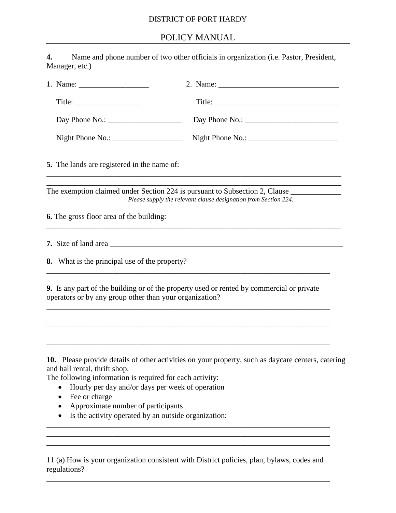## DISTRICT OF PORT HARDY

# POLICY MANUAL

| 4.<br>Manager, etc.)                                                                                                                                                             | Name and phone number of two other officials in organization (i.e. Pastor, President,                                                          |
|----------------------------------------------------------------------------------------------------------------------------------------------------------------------------------|------------------------------------------------------------------------------------------------------------------------------------------------|
|                                                                                                                                                                                  |                                                                                                                                                |
| $\text{Title:}$                                                                                                                                                                  |                                                                                                                                                |
|                                                                                                                                                                                  |                                                                                                                                                |
| Night Phone No.: $\frac{1}{2}$                                                                                                                                                   |                                                                                                                                                |
| 5. The lands are registered in the name of:                                                                                                                                      |                                                                                                                                                |
|                                                                                                                                                                                  | The exemption claimed under Section 224 is pursuant to Subsection 2, Clause<br>Please supply the relevant clause designation from Section 224. |
| <b>6.</b> The gross floor area of the building:                                                                                                                                  |                                                                                                                                                |
|                                                                                                                                                                                  |                                                                                                                                                |
| 8. What is the principal use of the property?                                                                                                                                    |                                                                                                                                                |
| operators or by any group other than your organization?                                                                                                                          | <b>9.</b> Is any part of the building or of the property used or rented by commercial or private                                               |
|                                                                                                                                                                                  |                                                                                                                                                |
| and hall rental, thrift shop.<br>The following information is required for each activity:<br>Hourly per day and/or days per week of operation<br>$\bullet$<br>Fee or charge<br>٠ | 10. Please provide details of other activities on your property, such as daycare centers, catering                                             |
| Approximate number of participants<br>$\bullet$<br>Is the activity operated by an outside organization:                                                                          |                                                                                                                                                |

11 (a) How is your organization consistent with District policies, plan, bylaws, codes and regulations?

\_\_\_\_\_\_\_\_\_\_\_\_\_\_\_\_\_\_\_\_\_\_\_\_\_\_\_\_\_\_\_\_\_\_\_\_\_\_\_\_\_\_\_\_\_\_\_\_\_\_\_\_\_\_\_\_\_\_\_\_\_\_\_\_\_\_\_\_\_\_\_\_\_

\_\_\_\_\_\_\_\_\_\_\_\_\_\_\_\_\_\_\_\_\_\_\_\_\_\_\_\_\_\_\_\_\_\_\_\_\_\_\_\_\_\_\_\_\_\_\_\_\_\_\_\_\_\_\_\_\_\_\_\_\_\_\_\_\_\_\_\_\_\_\_\_\_ \_\_\_\_\_\_\_\_\_\_\_\_\_\_\_\_\_\_\_\_\_\_\_\_\_\_\_\_\_\_\_\_\_\_\_\_\_\_\_\_\_\_\_\_\_\_\_\_\_\_\_\_\_\_\_\_\_\_\_\_\_\_\_\_\_\_\_\_\_\_\_\_\_ \_\_\_\_\_\_\_\_\_\_\_\_\_\_\_\_\_\_\_\_\_\_\_\_\_\_\_\_\_\_\_\_\_\_\_\_\_\_\_\_\_\_\_\_\_\_\_\_\_\_\_\_\_\_\_\_\_\_\_\_\_\_\_\_\_\_\_\_\_\_\_\_\_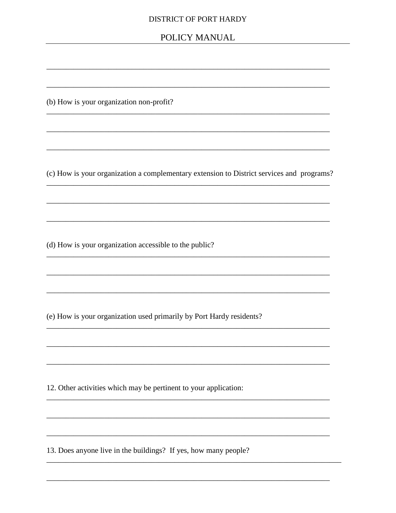#### **DISTRICT OF PORT HARDY**

## POLICY MANUAL

(b) How is your organization non-profit?

(c) How is your organization a complementary extension to District services and programs?

(d) How is your organization accessible to the public?

(e) How is your organization used primarily by Port Hardy residents?

12. Other activities which may be pertinent to your application:

13. Does anyone live in the buildings? If yes, how many people?